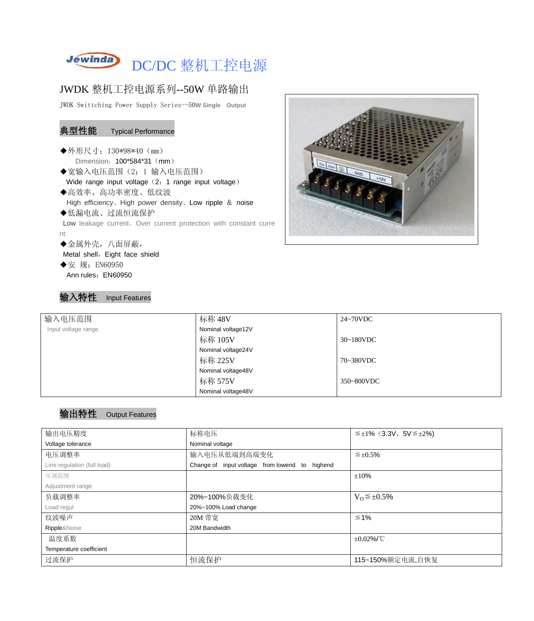

## JWDK 整机工控电源系列--50W 单路输出

JWDK Swittching Power Supply Series--50**W Single Output**

#### 典型性能 Typical Performance

- ◆外形尺寸: 130\*98\*40 (mm) Dimension: 100\*584\*31 (mm)
- ◆宽输入电压范围(2:1 输入电压范围) Wide range input voltage (2: 1 range input voltage)
- ◆高效率、高功率密度、低纹波 High efficiency、High power density、Low ripple & noise ◆低漏电流、过流恒流保护

Low leakage current, Over current protection with constant curre nt

◆金属外壳,八面屏蔽,

Metal shell, Eight face shield

◆安 规: EN60950 Ann rules: EN60950

输入特性 Input Features



| 输入电压范围              | 标称 48V             | 24~70VDC   |
|---------------------|--------------------|------------|
| Input voltage range | Nominal voltage12V |            |
|                     | 标称 105V            | 30~180VDC  |
|                     | Nominal voltage24V |            |
|                     | 标称 225V            | 70~380VDC  |
|                     | Nominal voltage48V |            |
|                     | 标称 575V            | 350~800VDC |
|                     | Nominal voltage48V |            |

#### 输出特性 Output Features

| 输出电压精度                      | 标称电压                                           | $\leq \pm 1\%$ (3.3V, 5V $\leq \pm 2\%$ ) |  |
|-----------------------------|------------------------------------------------|-------------------------------------------|--|
| Voltage tolerance           | Nominal voltage                                |                                           |  |
| 电压调整率                       | 输入电压从低端到高端变化                                   | $\leq \pm 0.5\%$                          |  |
| Line regulation (full load) | Change of input voltage from lowend to highend |                                           |  |
| 可调范围                        |                                                | ±10%                                      |  |
| Adjustment range            |                                                |                                           |  |
| 负载调整率                       | 20%~100%负载变化                                   | $V_0 \leq \pm 0.5\%$                      |  |
| Load regul                  | 20%~100% Load change                           |                                           |  |
| 纹波噪声                        | 20M 带宽                                         | $\leq 1\%$                                |  |
| Ripple&Noise                | 20M Bandwidth                                  |                                           |  |
| 温度系数                        |                                                | $\pm 0.02\%$ /°C                          |  |
| Temperature coefficient     |                                                |                                           |  |
| 过流保护                        | 恒流保护                                           | 115~150%额定电流,自恢复                          |  |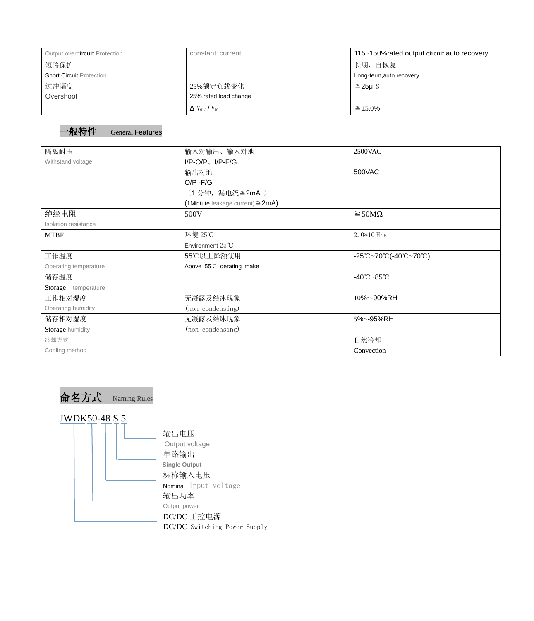| Output overcircuit Protection   | constant current                          | 115~150% rated output circuit, auto recovery |  |  |
|---------------------------------|-------------------------------------------|----------------------------------------------|--|--|
| 短路保护                            |                                           | 长期, 自恢复                                      |  |  |
| <b>Short Circuit Protection</b> |                                           | Long-term, auto recovery                     |  |  |
| 过冲幅度                            | 25%额定负载变化                                 | $≤25\mu$ S                                   |  |  |
| Overshoot                       | 25% rated load change                     |                                              |  |  |
|                                 | $\Delta$ V <sub>01</sub> /V <sub>01</sub> | $\leq \pm 5.0\%$                             |  |  |

### 一般特性 General Features

| 隔离耐压                  | 输入对输出、输入对地<br><b>2500VAC</b>              |                                                                                       |  |
|-----------------------|-------------------------------------------|---------------------------------------------------------------------------------------|--|
| Withstand voltage     | $I/P$ -O/P, $I/P$ -F/G                    |                                                                                       |  |
|                       | 输出对地                                      | 500VAC                                                                                |  |
|                       | $O/P - F/G$                               |                                                                                       |  |
|                       | (1分钟, 漏电流 ≦2mA)                           |                                                                                       |  |
|                       | $(1$ Mintute leakage current) $\leq$ 2mA) |                                                                                       |  |
| 绝缘电阻                  | 500V                                      | $\geq$ 50M $\Omega$                                                                   |  |
| Isolation resistance  |                                           |                                                                                       |  |
| <b>MTBF</b>           | 环境 25℃                                    | 2.0 $*10^5$ Hrs                                                                       |  |
|                       | Environment $25^{\circ}$ C                |                                                                                       |  |
| 工作温度                  | 55℃以上降额使用                                 | $-25^{\circ}\text{C}-70^{\circ}\text{C}$ (-40 $^{\circ}\text{C}-70^{\circ}\text{C}$ ) |  |
| Operating temperature | Above 55°C derating make                  |                                                                                       |  |
| 储存温度                  |                                           | $-40^{\circ}$ C $-85^{\circ}$ C                                                       |  |
| Storage temperature   |                                           |                                                                                       |  |
| 工作相对湿度                | 无凝露及结冰现象                                  | 10%~-90%RH                                                                            |  |
| Operating humidity    | (non condensing)                          |                                                                                       |  |
| 储存相对湿度                | 无凝露及结冰现象                                  | 5%~-95%RH                                                                             |  |
| Storage humidity      | (non condensing)                          |                                                                                       |  |
| 冷却方式                  |                                           | 自然冷却                                                                                  |  |
| Cooling method        |                                           | Convection                                                                            |  |

命名方式 Naming Rules

# JWDK50-48 S 5